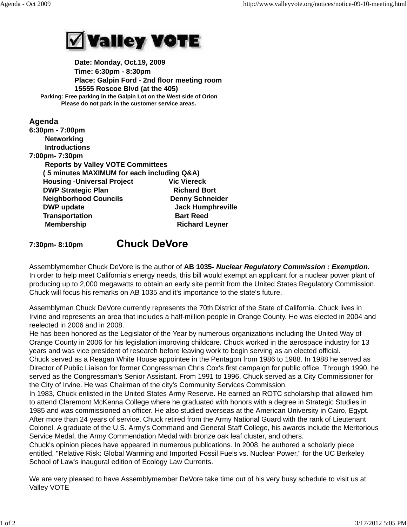

 **Date: Monday, Oct.19, 2009 Time: 6:30pm - 8:30pm Place: Galpin Ford - 2nd floor meeting room 15555 Roscoe Blvd (at the 405) Parking: Free parking in the Galpin Lot on the West side of Orion Please do not park in the customer service areas.**

## **Agenda 6:30pm - 7:00pm Networking Introductions 7:00pm- 7:30pm Reports by Valley VOTE Committees ( 5 minutes MAXIMUM for each including Q&A) Housing -Universal Project Vic Viereck DWP Strategic Plan Richard Bort Neighborhood Councils Counce Denny Schneider DWP update COVE COVER 10 UPDATE:** Jack Humphreville **Transportation Bart Reed Membership Richard Leyner Chuck DeVore 7:30pm- 8:10pm**

Assemblymember Chuck DeVore is the author of **AB 1035-** *Nuclear Regulatory Commission : Exemption.* In order to help meet California's energy needs, this bill would exempt an applicant for a nuclear power plant of producing up to 2,000 megawatts to obtain an early site permit from the United States Regulatory Commission. Chuck will focus his remarks on AB 1035 and it's importance to the state's future.

Assemblyman Chuck DeVore currently represents the 70th District of the State of California. Chuck lives in Irvine and represents an area that includes a half-million people in Orange County. He was elected in 2004 and reelected in 2006 and in 2008.

He has been honored as the Legislator of the Year by numerous organizations including the United Way of Orange County in 2006 for his legislation improving childcare. Chuck worked in the aerospace industry for 13 years and was vice president of research before leaving work to begin serving as an elected official. Chuck served as a Reagan White House appointee in the Pentagon from 1986 to 1988. In 1988 he served as Director of Public Liaison for former Congressman Chris Cox's first campaign for public office. Through 1990, he served as the Congressman's Senior Assistant. From 1991 to 1996, Chuck served as a City Commissioner for the City of Irvine. He was Chairman of the city's Community Services Commission.

In 1983, Chuck enlisted in the United States Army Reserve. He earned an ROTC scholarship that allowed him to attend Claremont McKenna College where he graduated with honors with a degree in Strategic Studies in 1985 and was commissioned an officer. He also studied overseas at the American University in Cairo, Egypt. After more than 24 years of service, Chuck retired from the Army National Guard with the rank of Lieutenant Colonel. A graduate of the U.S. Army's Command and General Staff College, his awards include the Meritorious Service Medal, the Army Commendation Medal with bronze oak leaf cluster, and others.

Chuck's opinion pieces have appeared in numerous publications. In 2008, he authored a scholarly piece entitled, "Relative Risk: Global Warming and Imported Fossil Fuels vs. Nuclear Power," for the UC Berkeley School of Law's inaugural edition of Ecology Law Currents.

We are very pleased to have Assemblymember DeVore take time out of his very busy schedule to visit us at Valley VOTE